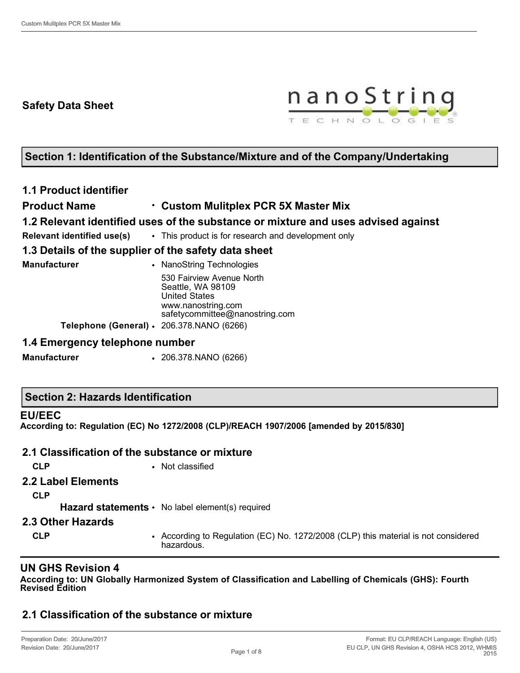## **Safety Data Sheet**



## **Section 1: Identification of the Substance/Mixture and of the Company/Undertaking**

## **1.1 Product identifier**

### **Product Name** • **Custom Mulitplex PCR 5X Master Mix**

### **1.2 Relevant identified uses of the substance or mixture and uses advised against**

**Relevant identified use(s)** • This product is for research and development only

## **1.3 Details of the supplier of the safety data sheet**

| Manufacturer                              | • NanoString Technologies                                              |
|-------------------------------------------|------------------------------------------------------------------------|
|                                           | 530 Fairview Avenue North<br>Seattle, WA 98109<br><b>United States</b> |
|                                           | www.nanostring.com<br>safetycommittee@nanostring.com                   |
| Telephone (General) · 206.378.NANO (6266) |                                                                        |

#### **1.4 Emergency telephone number**

**Manufacturer** • 206.378.NANO (6266)

#### **EU/EEC**

**According to: Regulation (EC) No 1272/2008 (CLP)/REACH 1907/2006 [amended by 2015/830]**

## **2.1 Classification of the substance or mixture**

**CLP** • Not classified

#### **2.2 Label Elements**

**CLP**

Hazard statements • No label element(s) required

#### **2.3 Other Hazards**

**CLP** • According to Regulation (EC) No. 1272/2008 (CLP) this material is not considered hazardous.

## **UN GHS Revision 4**

**According to: UN Globally Harmonized System of Classification and Labelling of Chemicals (GHS): Fourth Revised Edition**

## **2.1 Classification of the substance or mixture**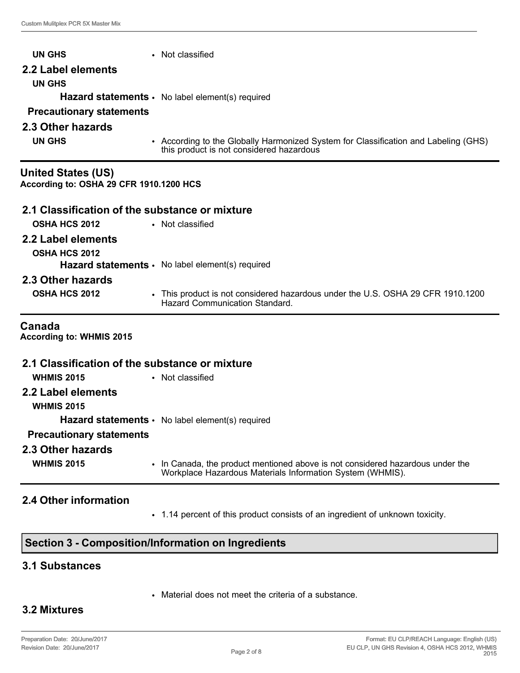| <b>UN GHS</b>                                                        | • Not classified                                                                                                                |
|----------------------------------------------------------------------|---------------------------------------------------------------------------------------------------------------------------------|
| 2.2 Label elements                                                   |                                                                                                                                 |
| <b>UN GHS</b>                                                        |                                                                                                                                 |
|                                                                      | Hazard statements · No label element(s) required                                                                                |
| <b>Precautionary statements</b>                                      |                                                                                                                                 |
| 2.3 Other hazards                                                    |                                                                                                                                 |
| <b>UN GHS</b>                                                        | • According to the Globally Harmonized System for Classification and Labeling (GHS)<br>this product is not considered hazardous |
| <b>United States (US)</b><br>According to: OSHA 29 CFR 1910.1200 HCS |                                                                                                                                 |
| 2.1 Classification of the substance or mixture                       |                                                                                                                                 |
| <b>OSHA HCS 2012</b>                                                 | • Not classified                                                                                                                |
| 2.2 Label elements                                                   |                                                                                                                                 |
| <b>OSHA HCS 2012</b>                                                 | Hazard statements · No label element(s) required                                                                                |
| 2.3 Other hazards                                                    |                                                                                                                                 |
| <b>OSHA HCS 2012</b>                                                 | • This product is not considered hazardous under the U.S. OSHA 29 CFR 1910.1200<br>Hazard Communication Standard.               |
| Canada<br>According to: WHMIS 2015                                   |                                                                                                                                 |
| 2.1 Classification of the substance or mixture                       |                                                                                                                                 |
| <b>WHMIS 2015</b>                                                    | • Not classified                                                                                                                |
| 2.2 Label elements                                                   |                                                                                                                                 |

**WHMIS 2015**

**Hazard statements** • No label element(s) required

### **Precautionary statements**

#### **2.3 Other hazards**

**WHMIS 2015** • In Canada, the product mentioned above is not considered hazardous under the Workplace Hazardous Materials Information System (WHMIS).

## **2.4 Other information**

• 1.14 percent of this product consists of an ingredient of unknown toxicity.

## **Section 3 - Composition/Information on Ingredients**

## **3.1 Substances**

• Material does not meet the criteria of a substance.

## **3.2 Mixtures**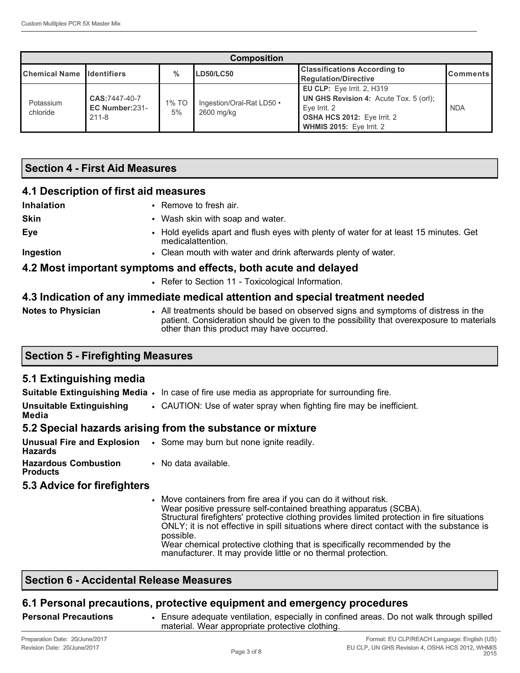| <b>Composition</b>                |                                              |               |                                         |                                                                                                                                                               |                 |
|-----------------------------------|----------------------------------------------|---------------|-----------------------------------------|---------------------------------------------------------------------------------------------------------------------------------------------------------------|-----------------|
| <b>Chemical Name Ildentifiers</b> |                                              | $\frac{0}{0}$ | <b>LD50/LC50</b>                        | <b>Classifications According to</b><br><b>Regulation/Directive</b>                                                                                            | <b>Comments</b> |
| Potassium<br>chloride             | CAS:7447-40-7<br>EC Number:231-<br>$211 - 8$ | 1% TO<br>5%   | Ingestion/Oral-Rat LD50 •<br>2600 mg/kg | <b>EU CLP:</b> Eye Irrit. 2, H319<br>UN GHS Revision 4: Acute Tox. 5 (orl);<br>Eve Irrit. 2<br>OSHA HCS 2012: Eye Irrit. 2<br><b>WHMIS 2015: Eye Irrit. 2</b> | <b>NDA</b>      |

### **Section 4 - First Aid Measures**

#### **4.1 Description of first aid measures**

| Inhalation  | • Remove to fresh air.                                                                                                                                                                                                                          |
|-------------|-------------------------------------------------------------------------------------------------------------------------------------------------------------------------------------------------------------------------------------------------|
| <b>Skin</b> | • Wash skin with soap and water.                                                                                                                                                                                                                |
| Eye         | • Hold eyelids apart and flush eyes with plenty of water for at least 15 minutes. Get<br>medicalattention.                                                                                                                                      |
| Ingestion   | • Clean mouth with water and drink afterwards plenty of water.                                                                                                                                                                                  |
|             | 4.2 Most important symptoms and effects, both acute and delayed                                                                                                                                                                                 |
|             | $D = 0$ and $D = 0$ and $D = 0$ and $D = 0$ and $D = 0$ and $D = 0$ and $D = 0$ and $D = 0$ and $D = 0$ and $D = 0$ and $D = 0$ and $D = 0$ and $D = 0$ and $D = 0$ and $D = 0$ and $D = 0$ and $D = 0$ and $D = 0$ and $D = 0$ and $D = 0$ and |

• Refer to Section 11 - Toxicological Information.

#### **4.3 Indication of any immediate medical attention and special treatment needed**

**Notes to Physician** • All treatments should be based on observed signs and symptoms of distress in the patient. Consideration should be given to the possibility that overexposure to materials other than this product may have occurred.

#### **Section 5 - Firefighting Measures**

#### **5.1 Extinguishing media**

**Suitable Extinguishing Media** • In case of fire use media as appropriate for surrounding fire.

**Unsuitable Extinguishing Media** • CAUTION: Use of water spray when fighting fire may be inefficient.

### **5.2 Special hazards arising from the substance or mixture**

| Unusual Fire and Explosion<br><b>Hazards</b>   | • Some may burn but none ignite readily. |
|------------------------------------------------|------------------------------------------|
| <b>Hazardous Combustion</b><br><b>Products</b> | • No data available.                     |
|                                                |                                          |

#### **5.3 Advice for firefighters**

Move containers from fire area if you can do it without risk. Wear positive pressure self-contained breathing apparatus (SCBA). Structural firefighters' protective clothing provides limited protection in fire situations ONLY; it is not effective in spill situations where direct contact with the substance is possible. Wear chemical protective clothing that is specifically recommended by the manufacturer. It may provide little or no thermal protection.

### **Section 6 - Accidental Release Measures**

## **6.1 Personal precautions, protective equipment and emergency procedures**

**Personal Precautions** • Ensure adequate ventilation, especially in confined areas. Do not walk through spilled material. Wear appropriate protective clothing.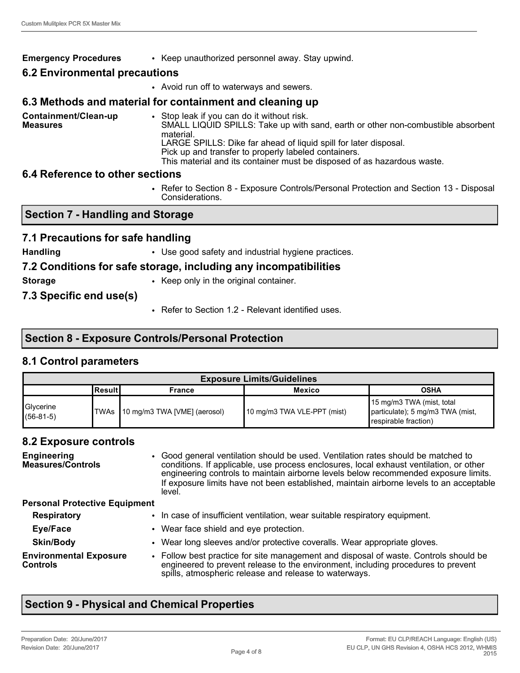#### **Emergency Procedures** • Keep unauthorized personnel away. Stay upwind.

#### **6.2 Environmental precautions**

• Avoid run off to waterways and sewers.

#### **6.3 Methods and material for containment and cleaning up**

**Containment/Clean-up Measures** • Stop leak if you can do it without risk. SMALL LIQUID SPILLS: Take up with sand, earth or other non-combustible absorbent material. LARGE SPILLS: Dike far ahead of liquid spill for later disposal. Pick up and transfer to properly labeled containers. This material and its container must be disposed of as hazardous waste.

#### **6.4 Reference to other sections**

• Refer to Section 8 - Exposure Controls/Personal Protection and Section 13 - Disposal Considerations.

#### **Section 7 - Handling and Storage**

#### **7.1 Precautions for safe handling**

**Handling • Use good safety and industrial hygiene practices.** 

#### **7.2 Conditions for safe storage, including any incompatibilities**

**Storage** • Keep only in the original container.

**7.3 Specific end use(s)**

• Refer to Section 1.2 - Relevant identified uses.

## **Section 8 - Exposure Controls/Personal Protection**

#### **8.1 Control parameters**

| <b>Exposure Limits/Guidelines</b> |         |                                   |                             |                                                                                       |
|-----------------------------------|---------|-----------------------------------|-----------------------------|---------------------------------------------------------------------------------------|
|                                   | Resultl | France                            | <b>Mexico</b>               | <b>OSHA</b>                                                                           |
| Glycerine<br>$(56-81-5)$          |         | TWAs 10 mg/m3 TWA [VME] (aerosol) | 10 mg/m3 TWA VLE-PPT (mist) | 15 mg/m3 TWA (mist, total<br>particulate); 5 mg/m3 TWA (mist,<br>respirable fraction) |

#### **8.2 Exposure controls**

| <b>Engineering</b><br><b>Measures/Controls</b>   | • Good general ventilation should be used. Ventilation rates should be matched to<br>conditions. If applicable, use process enclosures, local exhaust ventilation, or other<br>engineering controls to maintain airborne levels below recommended exposure limits.<br>If exposure limits have not been established, maintain airborne levels to an acceptable<br>level. |
|--------------------------------------------------|-------------------------------------------------------------------------------------------------------------------------------------------------------------------------------------------------------------------------------------------------------------------------------------------------------------------------------------------------------------------------|
| <b>Personal Protective Equipment</b>             |                                                                                                                                                                                                                                                                                                                                                                         |
| <b>Respiratory</b>                               | • In case of insufficient ventilation, wear suitable respiratory equipment.                                                                                                                                                                                                                                                                                             |
| Eye/Face                                         | • Wear face shield and eye protection.                                                                                                                                                                                                                                                                                                                                  |
| <b>Skin/Body</b>                                 | • Wear long sleeves and/or protective coveralls. Wear appropriate gloves.                                                                                                                                                                                                                                                                                               |
| <b>Environmental Exposure</b><br><b>Controls</b> | • Follow best practice for site management and disposal of waste. Controls should be<br>engineered to prevent release to the environment, including procedures to prevent<br>spills, atmospheric release and release to waterways.                                                                                                                                      |

## **Section 9 - Physical and Chemical Properties**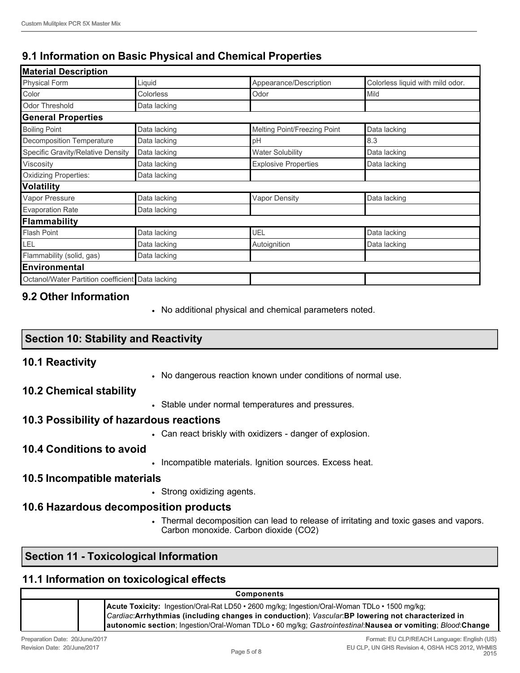# **9.1 Information on Basic Physical and Chemical Properties**

| Liquid                                           | Appearance/Description       | Colorless liquid with mild odor. |
|--------------------------------------------------|------------------------------|----------------------------------|
| Colorless                                        | Odor                         | Mild                             |
| Data lacking                                     |                              |                                  |
|                                                  |                              |                                  |
| Data lacking                                     | Melting Point/Freezing Point | Data lacking                     |
| Data lacking                                     | pH                           | 8.3                              |
| Data lacking                                     | <b>Water Solubility</b>      | Data lacking                     |
| Data lacking                                     | <b>Explosive Properties</b>  | Data lacking                     |
| Data lacking                                     |                              |                                  |
|                                                  |                              |                                  |
| Data lacking                                     | <b>Vapor Density</b>         | Data lacking                     |
| Data lacking                                     |                              |                                  |
|                                                  |                              |                                  |
| Data lacking                                     | UEL                          | Data lacking                     |
| Data lacking                                     | Autoignition                 | Data lacking                     |
| Data lacking                                     |                              |                                  |
|                                                  |                              |                                  |
| Octanol/Water Partition coefficient Data lacking |                              |                                  |
|                                                  |                              |                                  |

## **9.2 Other Information**

• No additional physical and chemical parameters noted.

## **Section 10: Stability and Reactivity**

## **10.1 Reactivity**

• No dangerous reaction known under conditions of normal use.

#### **10.2 Chemical stability**

• Stable under normal temperatures and pressures.

## **10.3 Possibility of hazardous reactions**

• Can react briskly with oxidizers - danger of explosion.

#### **10.4 Conditions to avoid**

• Incompatible materials. Ignition sources. Excess heat.

#### **10.5 Incompatible materials**

• Strong oxidizing agents.

## **10.6 Hazardous decomposition products**

• Thermal decomposition can lead to release of irritating and toxic gases and vapors. Carbon monoxide. Carbon dioxide (CO2)

## **Section 11 - Toxicological Information**

## **11.1 Information on toxicological effects**

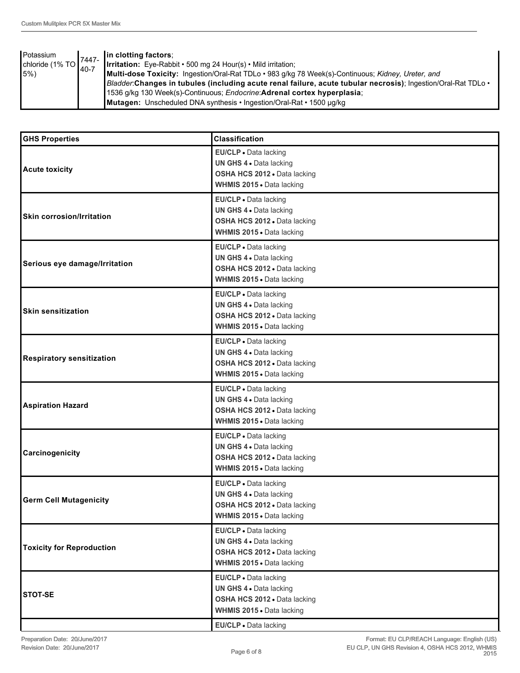| Potassium                      | 7447-     | $\ $ in clotting factors;                                                                                           |
|--------------------------------|-----------|---------------------------------------------------------------------------------------------------------------------|
| chloride (1% TO $\binom{1}{2}$ | $140 - 7$ | <b>Irritation:</b> Eye-Rabbit • 500 mg 24 Hour(s) • Mild irritation;                                                |
| 15%                            |           | Multi-dose Toxicity: Ingestion/Oral-Rat TDLo • 983 g/kg 78 Week(s)-Continuous; Kidney, Ureter, and                  |
|                                |           | Bladder:Changes in tubules (including acute renal failure, acute tubular necrosis); Ingestion/Oral-Rat TDLo $\cdot$ |
|                                |           | 1536 g/kg 130 Week(s)-Continuous; Endocrine:Adrenal cortex hyperplasia;                                             |
|                                |           | Mutagen: Unscheduled DNA synthesis • Ingestion/Oral-Rat • 1500 µg/kg                                                |

| <b>GHS Properties</b>            | <b>Classification</b>                                                                                         |
|----------------------------------|---------------------------------------------------------------------------------------------------------------|
| <b>Acute toxicity</b>            | EU/CLP . Data lacking<br>UN GHS 4 . Data lacking<br>OSHA HCS 2012 · Data lacking<br>WHMIS 2015 . Data lacking |
| <b>Skin corrosion/Irritation</b> | EU/CLP · Data lacking<br>UN GHS 4 . Data lacking<br>OSHA HCS 2012 . Data lacking<br>WHMIS 2015 . Data lacking |
| Serious eye damage/Irritation    | EU/CLP · Data lacking<br>UN GHS 4 . Data lacking<br>OSHA HCS 2012 · Data lacking<br>WHMIS 2015 . Data lacking |
| <b>Skin sensitization</b>        | EU/CLP · Data lacking<br>UN GHS 4 . Data lacking<br>OSHA HCS 2012 . Data lacking<br>WHMIS 2015 . Data lacking |
| <b>Respiratory sensitization</b> | EU/CLP · Data lacking<br>UN GHS 4 . Data lacking<br>OSHA HCS 2012 · Data lacking<br>WHMIS 2015 . Data lacking |
| <b>Aspiration Hazard</b>         | EU/CLP · Data lacking<br>UN GHS 4 . Data lacking<br>OSHA HCS 2012 · Data lacking<br>WHMIS 2015 . Data lacking |
| Carcinogenicity                  | EU/CLP · Data lacking<br>UN GHS 4 . Data lacking<br>OSHA HCS 2012 . Data lacking<br>WHMIS 2015 . Data lacking |
| <b>Germ Cell Mutagenicity</b>    | EU/CLP · Data lacking<br>UN GHS 4 . Data lacking<br>OSHA HCS 2012 . Data lacking<br>WHMIS 2015 . Data lacking |
| <b>Toxicity for Reproduction</b> | EU/CLP · Data lacking<br>UN GHS 4 . Data lacking<br>OSHA HCS 2012 . Data lacking<br>WHMIS 2015 . Data lacking |
| <b>STOT-SE</b>                   | EU/CLP · Data lacking<br>UN GHS 4 . Data lacking<br>OSHA HCS 2012 . Data lacking<br>WHMIS 2015 . Data lacking |
|                                  | EU/CLP . Data lacking                                                                                         |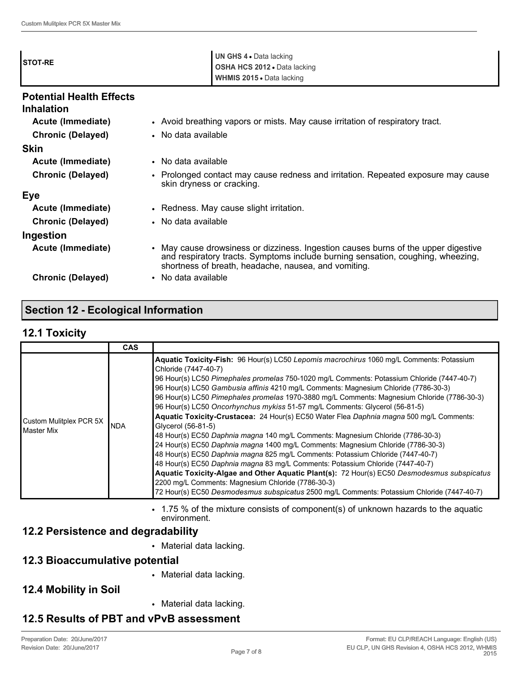| <b>STOT-RE</b>                                       | UN GHS 4 . Data lacking<br>OSHA HCS 2012 . Data lacking<br>WHMIS 2015 . Data lacking                                                                                                                                        |  |
|------------------------------------------------------|-----------------------------------------------------------------------------------------------------------------------------------------------------------------------------------------------------------------------------|--|
| <b>Potential Health Effects</b><br><b>Inhalation</b> |                                                                                                                                                                                                                             |  |
| Acute (Immediate)                                    | • Avoid breathing vapors or mists. May cause irritation of respiratory tract.                                                                                                                                               |  |
| <b>Chronic (Delayed)</b>                             | • No data available                                                                                                                                                                                                         |  |
| <b>Skin</b>                                          |                                                                                                                                                                                                                             |  |
| Acute (Immediate)                                    | • No data available                                                                                                                                                                                                         |  |
| <b>Chronic (Delayed)</b>                             | Prolonged contact may cause redness and irritation. Repeated exposure may cause<br>skin dryness or cracking.                                                                                                                |  |
| Eye                                                  |                                                                                                                                                                                                                             |  |
| Acute (Immediate)                                    | • Redness. May cause slight irritation.                                                                                                                                                                                     |  |
| <b>Chronic (Delayed)</b>                             | • No data available                                                                                                                                                                                                         |  |
| Ingestion                                            |                                                                                                                                                                                                                             |  |
| Acute (Immediate)                                    | May cause drowsiness or dizziness. Ingestion causes burns of the upper digestive<br>and respiratory tracts. Symptoms include burning sensation, coughing, wheezing,<br>shortness of breath, headache, nausea, and vomiting. |  |
| <b>Chronic (Delayed)</b>                             | No data available<br>$\bullet$                                                                                                                                                                                              |  |

## **Section 12 - Ecological Information**

### **12.1 Toxicity**

|                                              | <b>CAS</b> |                                                                                                                                                                                                                                                                                                                                                                                                                                                                                                                                                                                                                                                                                                                                                                                                                                                                                                                                                                                                                                                                                                                                                                                                    |
|----------------------------------------------|------------|----------------------------------------------------------------------------------------------------------------------------------------------------------------------------------------------------------------------------------------------------------------------------------------------------------------------------------------------------------------------------------------------------------------------------------------------------------------------------------------------------------------------------------------------------------------------------------------------------------------------------------------------------------------------------------------------------------------------------------------------------------------------------------------------------------------------------------------------------------------------------------------------------------------------------------------------------------------------------------------------------------------------------------------------------------------------------------------------------------------------------------------------------------------------------------------------------|
| Custom Mulitplex PCR 5X<br><b>Master Mix</b> | <b>NDA</b> | Aquatic Toxicity-Fish: 96 Hour(s) LC50 Lepomis macrochirus 1060 mg/L Comments: Potassium<br>Chloride (7447-40-7)<br>96 Hour(s) LC50 Pimephales promelas 750-1020 mg/L Comments: Potassium Chloride (7447-40-7)<br>96 Hour(s) LC50 Gambusia affinis 4210 mg/L Comments: Magnesium Chloride (7786-30-3)<br>96 Hour(s) LC50 Pimephales promelas 1970-3880 mg/L Comments: Magnesium Chloride (7786-30-3)<br>96 Hour(s) LC50 Oncorhynchus mykiss 51-57 mg/L Comments: Glycerol (56-81-5)<br>Aquatic Toxicity-Crustacea: 24 Hour(s) EC50 Water Flea Daphnia magna 500 mg/L Comments:<br>Glycerol (56-81-5)<br>48 Hour(s) EC50 Daphnia magna 140 mg/L Comments: Magnesium Chloride (7786-30-3)<br>24 Hour(s) EC50 Daphnia magna 1400 mg/L Comments: Magnesium Chloride (7786-30-3)<br>48 Hour(s) EC50 Daphnia magna 825 mg/L Comments: Potassium Chloride (7447-40-7)<br>48 Hour(s) EC50 Daphnia magna 83 mg/L Comments: Potassium Chloride (7447-40-7)<br>Aquatic Toxicity-Algae and Other Aquatic Plant(s): 72 Hour(s) EC50 Desmodesmus subspicatus<br>2200 mg/L Comments: Magnesium Chloride (7786-30-3)<br>72 Hour(s) EC50 Desmodesmus subspicatus 2500 mg/L Comments: Potassium Chloride (7447-40-7) |

• 1.75 % of the mixture consists of component(s) of unknown hazards to the aquatic environment.

## **12.2 Persistence and degradability**

• Material data lacking.

## **12.3 Bioaccumulative potential**

• Material data lacking.

## **12.4 Mobility in Soil**

• Material data lacking.

## **12.5 Results of PBT and vPvB assessment**